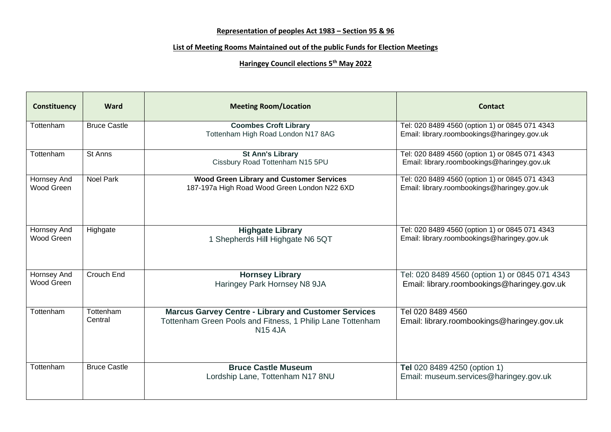## **Representation of peoples Act 1983 – Section 95 & 96**

## **List of Meeting Rooms Maintained out of the public Funds for Election Meetings**

## **Haringey Council elections 5th May 2022**

| Constituency              | Ward                 | <b>Meeting Room/Location</b>                                                                                                                | <b>Contact</b>                                                                                |
|---------------------------|----------------------|---------------------------------------------------------------------------------------------------------------------------------------------|-----------------------------------------------------------------------------------------------|
| Tottenham                 | <b>Bruce Castle</b>  | <b>Coombes Croft Library</b><br>Tottenham High Road London N17 8AG                                                                          | Tel: 020 8489 4560 (option 1) or 0845 071 4343<br>Email: library.roombookings@haringey.gov.uk |
| Tottenham                 | St Anns              | <b>St Ann's Library</b><br>Cissbury Road Tottenham N15 5PU                                                                                  | Tel: 020 8489 4560 (option 1) or 0845 071 4343<br>Email: library.roombookings@haringey.gov.uk |
| Hornsey And<br>Wood Green | <b>Noel Park</b>     | <b>Wood Green Library and Customer Services</b><br>187-197a High Road Wood Green London N22 6XD                                             | Tel: 020 8489 4560 (option 1) or 0845 071 4343<br>Email: library.roombookings@haringey.gov.uk |
| Hornsey And<br>Wood Green | Highgate             | <b>Highgate Library</b><br>1 Shepherds Hill Highgate N6 5QT                                                                                 | Tel: 020 8489 4560 (option 1) or 0845 071 4343<br>Email: library.roombookings@haringey.gov.uk |
| Hornsey And<br>Wood Green | Crouch End           | <b>Hornsey Library</b><br>Haringey Park Hornsey N8 9JA                                                                                      | Tel: 020 8489 4560 (option 1) or 0845 071 4343<br>Email: library.roombookings@haringey.gov.uk |
| Tottenham                 | Tottenham<br>Central | <b>Marcus Garvey Centre - Library and Customer Services</b><br>Tottenham Green Pools and Fitness, 1 Philip Lane Tottenham<br><b>N15 4JA</b> | Tel 020 8489 4560<br>Email: library.roombookings@haringey.gov.uk                              |
| Tottenham                 | <b>Bruce Castle</b>  | <b>Bruce Castle Museum</b><br>Lordship Lane, Tottenham N17 8NU                                                                              | <b>Tel</b> 020 8489 4250 (option 1)<br>Email: museum.services@haringey.gov.uk                 |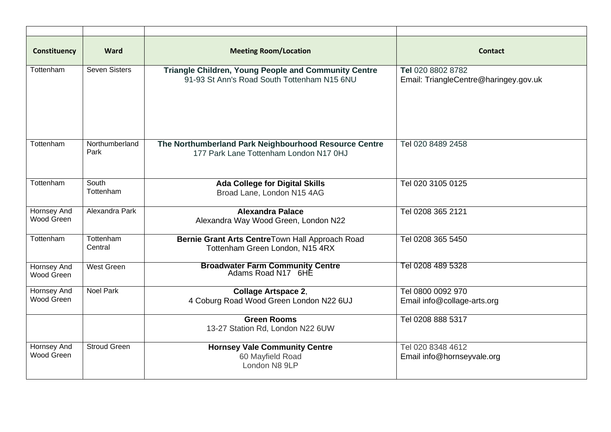| Constituency              | Ward                   | <b>Meeting Room/Location</b>                                                                               | <b>Contact</b>                                             |
|---------------------------|------------------------|------------------------------------------------------------------------------------------------------------|------------------------------------------------------------|
| Tottenham                 | <b>Seven Sisters</b>   | <b>Triangle Children, Young People and Community Centre</b><br>91-93 St Ann's Road South Tottenham N15 6NU | Tel 020 8802 8782<br>Email: TriangleCentre@haringey.gov.uk |
| Tottenham                 | Northumberland<br>Park | The Northumberland Park Neighbourhood Resource Centre<br>177 Park Lane Tottenham London N17 0HJ            | Tel 020 8489 2458                                          |
| Tottenham                 | South<br>Tottenham     | <b>Ada College for Digital Skills</b><br>Broad Lane, London N15 4AG                                        | Tel 020 3105 0125                                          |
| Hornsey And<br>Wood Green | Alexandra Park         | <b>Alexandra Palace</b><br>Alexandra Way Wood Green, London N22                                            | Tel 0208 365 2121                                          |
| Tottenham                 | Tottenham<br>Central   | Bernie Grant Arts CentreTown Hall Approach Road<br>Tottenham Green London, N15 4RX                         | Tel 0208 365 5450                                          |
| Hornsey And<br>Wood Green | West Green             | <b>Broadwater Farm Community Centre</b><br>Adams Road N17 6HE                                              | Tel 0208 489 5328                                          |
| Hornsey And<br>Wood Green | <b>Noel Park</b>       | <b>Collage Artspace 2,</b><br>4 Coburg Road Wood Green London N22 6UJ                                      | Tel 0800 0092 970<br>Email info@collage-arts.org           |
|                           |                        | <b>Green Rooms</b><br>13-27 Station Rd, London N22 6UW                                                     | Tel 0208 888 5317                                          |
| Hornsey And<br>Wood Green | <b>Stroud Green</b>    | <b>Hornsey Vale Community Centre</b><br>60 Mayfield Road<br>London N8 9LP                                  | Tel 020 8348 4612<br>Email info@hornseyvale.org            |